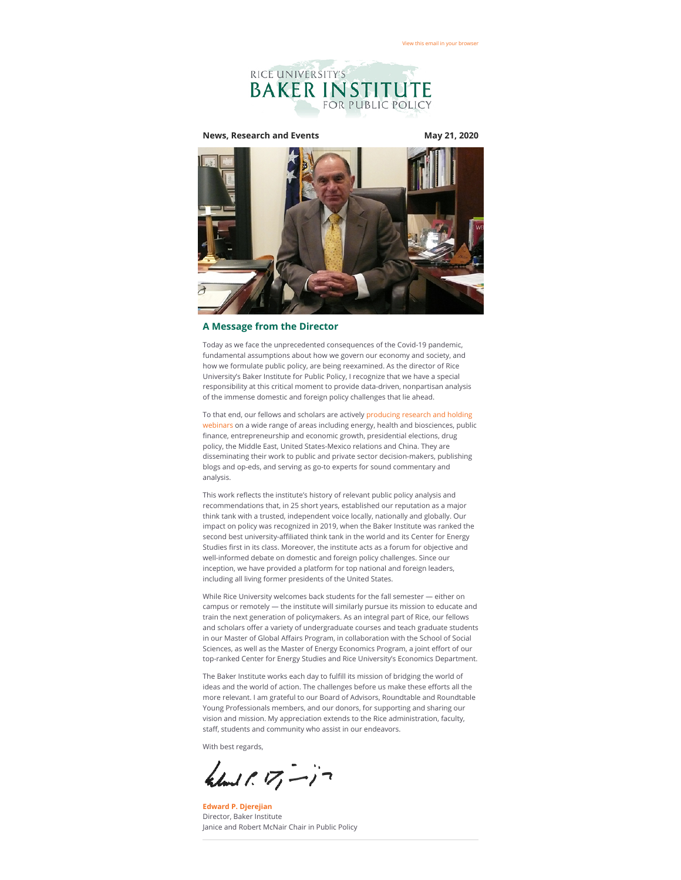

## **News, Research and Events May 21, 2020**



#### **A Message from the Director**

Today as we face the unprecedented consequences of the Covid-19 pandemic, fundamental assumptions about how we govern our economy and society, and how we formulate public policy, are being reexamined. As the director of Rice University's Baker Institute for Public Policy, I recognize that we have a special responsibility at this critical moment to provide data-driven, nonpartisan analysis of the immense domestic and foreign policy challenges that lie ahead.

To that end, our fellows and scholars are actively producing research and holding [webinars on a wide range of areas including energy, health and biosciences, publi](https://riceconnect.rice.edu/page.redir?target=https%3a%2f%2fwww.bakerinstitute.org%2fcovid-19%2f&srcid=135440&srctid=1&erid=70ec8909-71bf-4185-bea7-a7b63d13d5d2&trid=70ec8909-71bf-4185-bea7-a7b63d13d5d2)c finance, entrepreneurship and economic growth, presidential elections, drug policy, the Middle East, United States-Mexico relations and China. They are disseminating their work to public and private sector decision-makers, publishing blogs and op-eds, and serving as go-to experts for sound commentary and analysis.

This work reflects the institute's history of relevant public policy analysis and recommendations that, in 25 short years, established our reputation as a major think tank with a trusted, independent voice locally, nationally and globally. Our impact on policy was recognized in 2019, when the Baker Institute was ranked the second best university-affiliated think tank in the world and its Center for Energy Studies first in its class. Moreover, the institute acts as a forum for objective and well-informed debate on domestic and foreign policy challenges. Since our inception, we have provided a platform for top national and foreign leaders, including all living former presidents of the United States.

While Rice University welcomes back students for the fall semester — either on campus or remotely — the institute will similarly pursue its mission to educate and train the next generation of policymakers. As an integral part of Rice, our fellows and scholars offer a variety of undergraduate courses and teach graduate students in our Master of Global Affairs Program, in collaboration with the School of Social Sciences, as well as the Master of Energy Economics Program, a joint effort of our top-ranked Center for Energy Studies and Rice University's Economics Department.

The Baker Institute works each day to fulfill its mission of bridging the world of ideas and the world of action. The challenges before us make these efforts all the more relevant. I am grateful to our Board of Advisors, Roundtable and Roundtable Young Professionals members, and our donors, for supporting and sharing our vision and mission. My appreciation extends to the Rice administration, faculty, staff, students and community who assist in our endeavors.

With best regards,

 $k$ land  $1.17 - 17$ 

**[Edward P. Djerejian](https://riceconnect.rice.edu/page.redir?target=https%3a%2f%2fwww.bakerinstitute.org%2fexperts%2fedward-p-djerejian%2f&srcid=135440&srctid=1&erid=70ec8909-71bf-4185-bea7-a7b63d13d5d2&trid=70ec8909-71bf-4185-bea7-a7b63d13d5d2)** Director, Baker Institute Janice and Robert McNair Chair in Public Policy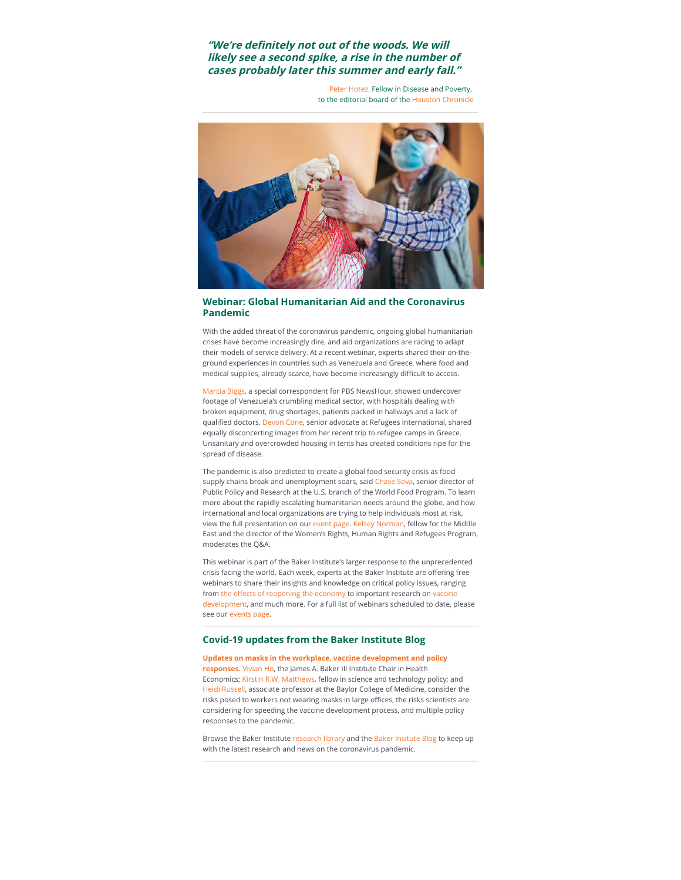# "We're definitely not out of the woods. We will **likely see a second spike, a rise in the number of cases probably later this summer and early fall."**

[Peter Hotez,](https://riceconnect.rice.edu/page.redir?target=https%3a%2f%2fwww.bakerinstitute.org%2fexperts%2fpeter-j-hotez%2f&srcid=135440&srctid=1&erid=70ec8909-71bf-4185-bea7-a7b63d13d5d2&trid=70ec8909-71bf-4185-bea7-a7b63d13d5d2) Fellow in Disease and Poverty, to the editorial board of the [Houston Chronicle](https://riceconnect.rice.edu/page.redir?target=https%3a%2f%2fwww.houstonchronicle.com%2fopinion%2feditorials%2farticle%2fEditorial-Businesses-may-be-reopening-but-15257937.php&srcid=135440&srctid=1&erid=70ec8909-71bf-4185-bea7-a7b63d13d5d2&trid=70ec8909-71bf-4185-bea7-a7b63d13d5d2)



# **Webinar: Global Humanitarian Aid and the Coronavirus Pandemic**

With the added threat of the coronavirus pandemic, ongoing global humanitarian crises have become increasingly dire, and aid organizations are racing to adapt their models of service delivery. At a recent webinar, experts shared their on-theground experiences in countries such as Venezuela and Greece, where food and medical supplies, already scarce, have become increasingly difficult to access.

[Marcia Biggs](https://riceconnect.rice.edu/page.redir?target=https%3a%2f%2fwww.pbs.org%2fnewshour%2fauthor%2fmarcia-biggs&srcid=135440&srctid=1&erid=70ec8909-71bf-4185-bea7-a7b63d13d5d2&trid=70ec8909-71bf-4185-bea7-a7b63d13d5d2), a special correspondent for PBS NewsHour, showed undercover footage of Venezuela's crumbling medical sector, with hospitals dealing with broken equipment, drug shortages, patients packed in hallways and a lack of qualified doctors. [Devon Cone,](https://riceconnect.rice.edu/page.redir?target=https%3a%2f%2fwww.refugeesinternational.org%2fdevon-cone&srcid=135440&srctid=1&erid=70ec8909-71bf-4185-bea7-a7b63d13d5d2&trid=70ec8909-71bf-4185-bea7-a7b63d13d5d2) senior advocate at Refugees International, shared equally disconcerting images from her recent trip to refugee camps in Greece. Unsanitary and overcrowded housing in tents has created conditions ripe for the spread of disease.

The pandemic is also predicted to create a global food security crisis as food supply chains break and unemployment soars, said [Chase Sova](https://riceconnect.rice.edu/page.redir?target=https%3a%2f%2fwww.csis.org%2fpeople%2fchase-sova&srcid=135440&srctid=1&erid=70ec8909-71bf-4185-bea7-a7b63d13d5d2&trid=70ec8909-71bf-4185-bea7-a7b63d13d5d2), senior director of Public Policy and Research at the U.S. branch of the World Food Program. To learn more about the rapidly escalating humanitarian needs around the globe, and how international and local organizations are trying to help individuals most at risk, view the full presentation on our [event page.](https://riceconnect.rice.edu/page.redir?target=https%3a%2f%2fwww.bakerinstitute.org%2fevents%2f2086%2f&srcid=135440&srctid=1&erid=70ec8909-71bf-4185-bea7-a7b63d13d5d2&trid=70ec8909-71bf-4185-bea7-a7b63d13d5d2) [Kelsey Norman](https://riceconnect.rice.edu/page.redir?target=https%3a%2f%2fwww.bakerinstitute.org%2fexperts%2fkelsey-norman%2f&srcid=135440&srctid=1&erid=70ec8909-71bf-4185-bea7-a7b63d13d5d2&trid=70ec8909-71bf-4185-bea7-a7b63d13d5d2), fellow for the Middle East and the director of the Women's Rights, Human Rights and Refugees Program, moderates the Q&A.

This webinar is part of the Baker Institute's larger response to the unprecedented crisis facing the world. Each week, experts at the Baker Institute are offering free webinars to share their insights and knowledge on critical policy issues, ranging from the effects of reopening the economy to important research on vaccine [development, and much more. For a full list of webinars scheduled to date, p](https://riceconnect.rice.edu/page.redir?target=https%3a%2f%2fwww.bakerinstitute.org%2fevents%2f2093%2f&srcid=135440&srctid=1&erid=70ec8909-71bf-4185-bea7-a7b63d13d5d2&trid=70ec8909-71bf-4185-bea7-a7b63d13d5d2)lease see our [events page](https://riceconnect.rice.edu/page.redir?target=https%3a%2f%2fwww.bakerinstitute.org%2fevents%2fsearch%2f&srcid=135440&srctid=1&erid=70ec8909-71bf-4185-bea7-a7b63d13d5d2&trid=70ec8909-71bf-4185-bea7-a7b63d13d5d2).

#### **Covid-19 updates from the Baker Institute Blog**

**[Updates on masks in the workplace, vaccine development and policy](https://riceconnect.rice.edu/page.redir?target=http%3a%2f%2fblog.bakerinstitute.org%2f2020%2f05%2f18%2fupdates-on-masks-in-the-workplace-vaccine-development-and-policy-responses%2f&srcid=135440&srctid=1&erid=70ec8909-71bf-4185-bea7-a7b63d13d5d2&trid=70ec8909-71bf-4185-bea7-a7b63d13d5d2) responses.** [Vivian Ho](https://riceconnect.rice.edu/page.redir?target=https%3a%2f%2fwww.bakerinstitute.org%2fexperts%2fvivian-ho%2f&srcid=135440&srctid=1&erid=70ec8909-71bf-4185-bea7-a7b63d13d5d2&trid=70ec8909-71bf-4185-bea7-a7b63d13d5d2), the James A. Baker III Institute Chair in Health Economics; [Kirstin R.W. Matthews,](https://riceconnect.rice.edu/page.redir?target=https%3a%2f%2fwww.bakerinstitute.org%2fexperts%2fkirstin-rw-matthews%2f&srcid=135440&srctid=1&erid=70ec8909-71bf-4185-bea7-a7b63d13d5d2&trid=70ec8909-71bf-4185-bea7-a7b63d13d5d2) fellow in science and technology policy; and [Heidi Russell](https://riceconnect.rice.edu/page.redir?target=https%3a%2f%2fwww.bcm.edu%2fpeople%2fview%2fheidi-russell-m-d%2fb1851b5b-ffed-11e2-be68-080027880ca6&srcid=135440&srctid=1&erid=70ec8909-71bf-4185-bea7-a7b63d13d5d2&trid=70ec8909-71bf-4185-bea7-a7b63d13d5d2), associate professor at the Baylor College of Medicine, consider the risks posed to workers not wearing masks in large offices, the risks scientists are considering for speeding the vaccine development process, and multiple policy responses to the pandemic.

Browse the Baker Institute [research library](https://riceconnect.rice.edu/page.redir?target=https%3a%2f%2fwww.bakerinstitute.org%2fresearch%2f&srcid=135440&srctid=1&erid=70ec8909-71bf-4185-bea7-a7b63d13d5d2&trid=70ec8909-71bf-4185-bea7-a7b63d13d5d2) and the [Baker Insitute Blog](https://riceconnect.rice.edu/page.redir?target=http%3a%2f%2fblog.bakerinstitute.org%2f&srcid=135440&srctid=1&erid=70ec8909-71bf-4185-bea7-a7b63d13d5d2&trid=70ec8909-71bf-4185-bea7-a7b63d13d5d2) to keep up with the latest research and news on the coronavirus pandemic.